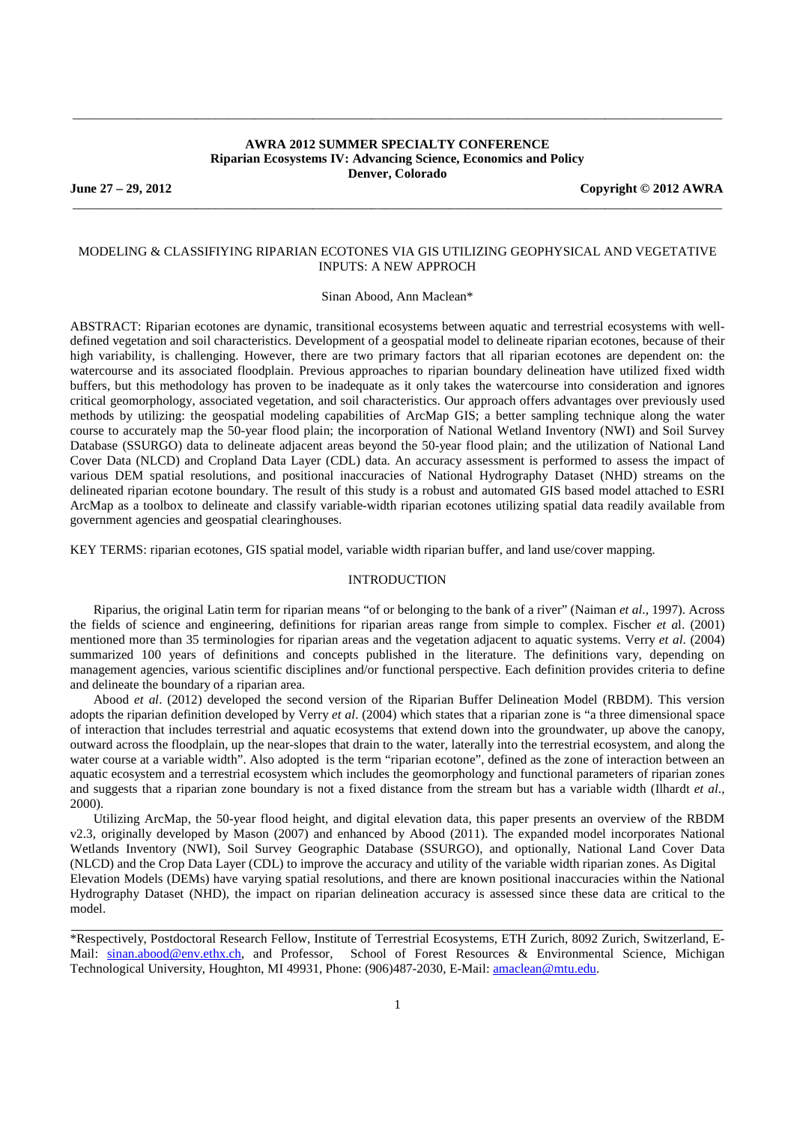### **AWRA 2012 SUMMER SPECIALTY CONFERENCE Riparian Ecosystems IV: Advancing Science, Economics and Policy Denver, Colorado**

\_\_\_\_\_\_\_\_\_\_\_\_\_\_\_\_\_\_\_\_\_\_\_\_\_\_\_\_\_\_\_\_\_\_\_\_\_\_\_\_\_\_\_\_\_\_\_\_\_\_\_\_\_\_\_\_\_\_\_\_\_\_\_\_\_\_\_\_\_\_\_\_\_\_\_\_\_\_\_\_\_\_\_\_\_\_\_\_\_\_\_\_\_\_\_\_\_\_\_\_

\_\_\_\_\_\_\_\_\_\_\_\_\_\_\_\_\_\_\_\_\_\_\_\_\_\_\_\_\_\_\_\_\_\_\_\_\_\_\_\_\_\_\_\_\_\_\_\_\_\_\_\_\_\_\_\_\_\_\_\_\_\_\_\_\_\_\_\_\_\_\_\_\_\_\_\_\_\_\_\_\_\_\_\_\_\_\_\_\_\_\_\_\_\_\_\_\_\_\_\_

**June 27 – 29, 2012 Copyright © 2012 AWRA** 

### MODELING & CLASSIFIYING RIPARIAN ECOTONES VIA GIS UTILIZING GEOPHYSICAL AND VEGETATIVE INPUTS: A NEW APPROCH

Sinan Abood, Ann Maclean\*

ABSTRACT: Riparian ecotones are dynamic, transitional ecosystems between aquatic and terrestrial ecosystems with welldefined vegetation and soil characteristics. Development of a geospatial model to delineate riparian ecotones, because of their high variability, is challenging. However, there are two primary factors that all riparian ecotones are dependent on: the watercourse and its associated floodplain. Previous approaches to riparian boundary delineation have utilized fixed width buffers, but this methodology has proven to be inadequate as it only takes the watercourse into consideration and ignores critical geomorphology, associated vegetation, and soil characteristics. Our approach offers advantages over previously used methods by utilizing: the geospatial modeling capabilities of ArcMap GIS; a better sampling technique along the water course to accurately map the 50-year flood plain; the incorporation of National Wetland Inventory (NWI) and Soil Survey Database (SSURGO) data to delineate adjacent areas beyond the 50-year flood plain; and the utilization of National Land Cover Data (NLCD) and Cropland Data Layer (CDL) data. An accuracy assessment is performed to assess the impact of various DEM spatial resolutions, and positional inaccuracies of National Hydrography Dataset (NHD) streams on the delineated riparian ecotone boundary. The result of this study is a robust and automated GIS based model attached to ESRI ArcMap as a toolbox to delineate and classify variable-width riparian ecotones utilizing spatial data readily available from government agencies and geospatial clearinghouses.

KEY TERMS: riparian ecotones, GIS spatial model, variable width riparian buffer, and land use/cover mapping.

#### INTRODUCTION

Riparius, the original Latin term for riparian means "of or belonging to the bank of a river" (Naiman *et al*., 1997). Across the fields of science and engineering, definitions for riparian areas range from simple to complex. Fischer *et a*l. (2001) mentioned more than 35 terminologies for riparian areas and the vegetation adjacent to aquatic systems. Verry *et al*. (2004) summarized 100 years of definitions and concepts published in the literature. The definitions vary, depending on management agencies, various scientific disciplines and/or functional perspective. Each definition provides criteria to define and delineate the boundary of a riparian area.

Abood *et al*. (2012) developed the second version of the Riparian Buffer Delineation Model (RBDM). This version adopts the riparian definition developed by Verry *et al*. (2004) which states that a riparian zone is "a three dimensional space of interaction that includes terrestrial and aquatic ecosystems that extend down into the groundwater, up above the canopy, outward across the floodplain, up the near-slopes that drain to the water, laterally into the terrestrial ecosystem, and along the water course at a variable width". Also adopted is the term "riparian ecotone", defined as the zone of interaction between an aquatic ecosystem and a terrestrial ecosystem which includes the geomorphology and functional parameters of riparian zones and suggests that a riparian zone boundary is not a fixed distance from the stream but has a variable width (Ilhardt *et al*., 2000).

Utilizing ArcMap, the 50-year flood height, and digital elevation data, this paper presents an overview of the RBDM v2.3, originally developed by Mason (2007) and enhanced by Abood (2011). The expanded model incorporates National Wetlands Inventory (NWI), Soil Survey Geographic Database (SSURGO), and optionally, National Land Cover Data (NLCD) and the Crop Data Layer (CDL) to improve the accuracy and utility of the variable width riparian zones. As Digital Elevation Models (DEMs) have varying spatial resolutions, and there are known positional inaccuracies within the National Hydrography Dataset (NHD), the impact on riparian delineation accuracy is assessed since these data are critical to the model.

\*Respectively, Postdoctoral Research Fellow, Institute of Terrestrial Ecosystems, ETH Zurich, 8092 Zurich, Switzerland, E-Mail: sinan.abood@env.ethx.ch, and Professor, School of Forest Resources & Environmental Science, Michigan Technological University, Houghton, MI 49931, Phone: (906)487-2030, E-Mail: amaclean@mtu.edu.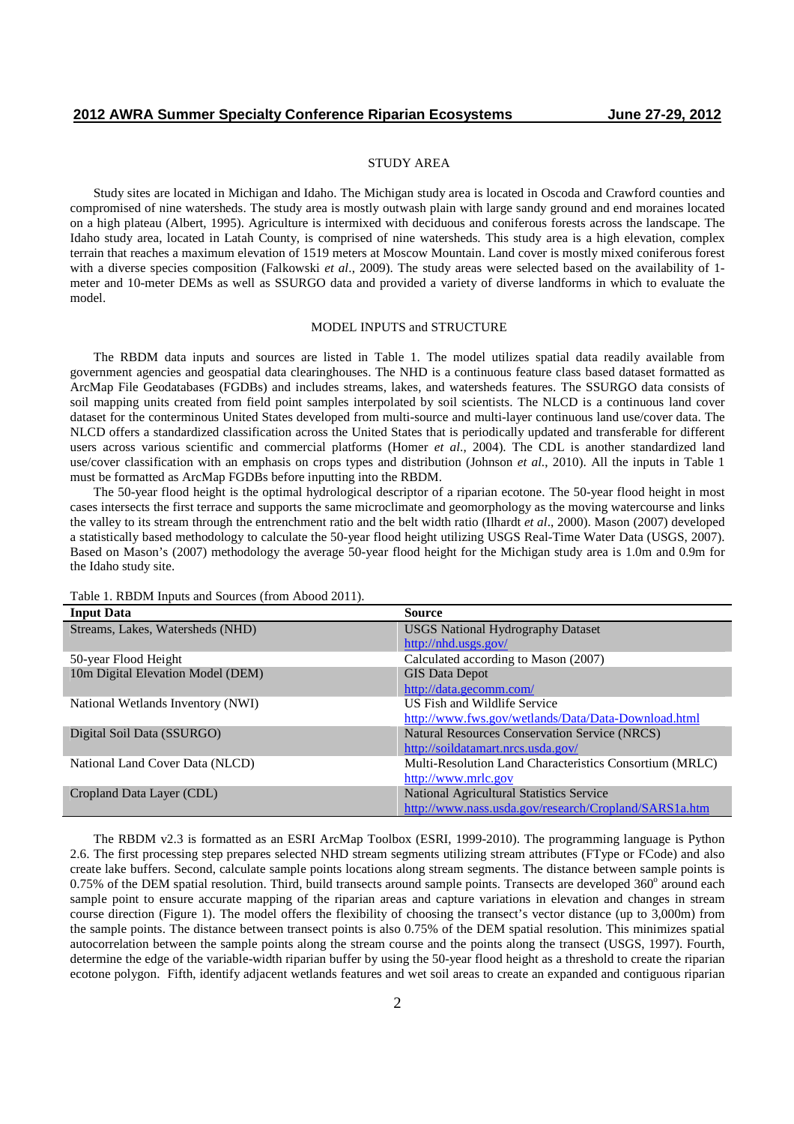#### STUDY AREA

Study sites are located in Michigan and Idaho. The Michigan study area is located in Oscoda and Crawford counties and compromised of nine watersheds. The study area is mostly outwash plain with large sandy ground and end moraines located on a high plateau (Albert, 1995). Agriculture is intermixed with deciduous and coniferous forests across the landscape. The Idaho study area, located in Latah County, is comprised of nine watersheds. This study area is a high elevation, complex terrain that reaches a maximum elevation of 1519 meters at Moscow Mountain. Land cover is mostly mixed coniferous forest with a diverse species composition (Falkowski *et al*., 2009). The study areas were selected based on the availability of 1 meter and 10-meter DEMs as well as SSURGO data and provided a variety of diverse landforms in which to evaluate the model.

#### MODEL INPUTS and STRUCTURE

The RBDM data inputs and sources are listed in Table 1. The model utilizes spatial data readily available from government agencies and geospatial data clearinghouses. The NHD is a continuous feature class based dataset formatted as ArcMap File Geodatabases (FGDBs) and includes streams, lakes, and watersheds features. The SSURGO data consists of soil mapping units created from field point samples interpolated by soil scientists. The NLCD is a continuous land cover dataset for the conterminous United States developed from multi-source and multi-layer continuous land use/cover data. The NLCD offers a standardized classification across the United States that is periodically updated and transferable for different users across various scientific and commercial platforms (Homer *et al*., 2004). The CDL is another standardized land use/cover classification with an emphasis on crops types and distribution (Johnson *et al*., 2010). All the inputs in Table 1 must be formatted as ArcMap FGDBs before inputting into the RBDM.

The 50-year flood height is the optimal hydrological descriptor of a riparian ecotone. The 50-year flood height in most cases intersects the first terrace and supports the same microclimate and geomorphology as the moving watercourse and links the valley to its stream through the entrenchment ratio and the belt width ratio (Ilhardt *et al*., 2000). Mason (2007) developed a statistically based methodology to calculate the 50-year flood height utilizing USGS Real-Time Water Data (USGS, 2007). Based on Mason's (2007) methodology the average 50-year flood height for the Michigan study area is 1.0m and 0.9m for the Idaho study site.

|  | Table 1. RBDM Inputs and Sources (from Abood 2011). |
|--|-----------------------------------------------------|
|  |                                                     |

| <b>Input Data</b>                 | <b>Source</b>                                           |  |  |
|-----------------------------------|---------------------------------------------------------|--|--|
| Streams, Lakes, Watersheds (NHD)  | <b>USGS National Hydrography Dataset</b>                |  |  |
|                                   | http://nhd.usgs.gov/                                    |  |  |
| 50-year Flood Height              | Calculated according to Mason (2007)                    |  |  |
| 10m Digital Elevation Model (DEM) | <b>GIS Data Depot</b>                                   |  |  |
|                                   | http://data.gecomm.com/                                 |  |  |
| National Wetlands Inventory (NWI) | US Fish and Wildlife Service                            |  |  |
|                                   | http://www.fws.gov/wetlands/Data/Data-Download.html     |  |  |
| Digital Soil Data (SSURGO)        | <b>Natural Resources Conservation Service (NRCS)</b>    |  |  |
|                                   | http://soildatamart.nrcs.usda.gov/                      |  |  |
| National Land Cover Data (NLCD)   | Multi-Resolution Land Characteristics Consortium (MRLC) |  |  |
|                                   | http://www.mrlc.gov                                     |  |  |
| Cropland Data Layer (CDL)         | National Agricultural Statistics Service                |  |  |
|                                   | http://www.nass.usda.gov/research/Cropland/SARS1a.htm   |  |  |

The RBDM v2.3 is formatted as an ESRI ArcMap Toolbox (ESRI, 1999-2010). The programming language is Python 2.6. The first processing step prepares selected NHD stream segments utilizing stream attributes (FType or FCode) and also create lake buffers. Second, calculate sample points locations along stream segments. The distance between sample points is  $0.75\%$  of the DEM spatial resolution. Third, build transects around sample points. Transects are developed  $360^\circ$  around each sample point to ensure accurate mapping of the riparian areas and capture variations in elevation and changes in stream course direction (Figure 1). The model offers the flexibility of choosing the transect's vector distance (up to 3,000m) from the sample points. The distance between transect points is also 0.75% of the DEM spatial resolution. This minimizes spatial autocorrelation between the sample points along the stream course and the points along the transect (USGS, 1997). Fourth, determine the edge of the variable-width riparian buffer by using the 50-year flood height as a threshold to create the riparian ecotone polygon. Fifth, identify adjacent wetlands features and wet soil areas to create an expanded and contiguous riparian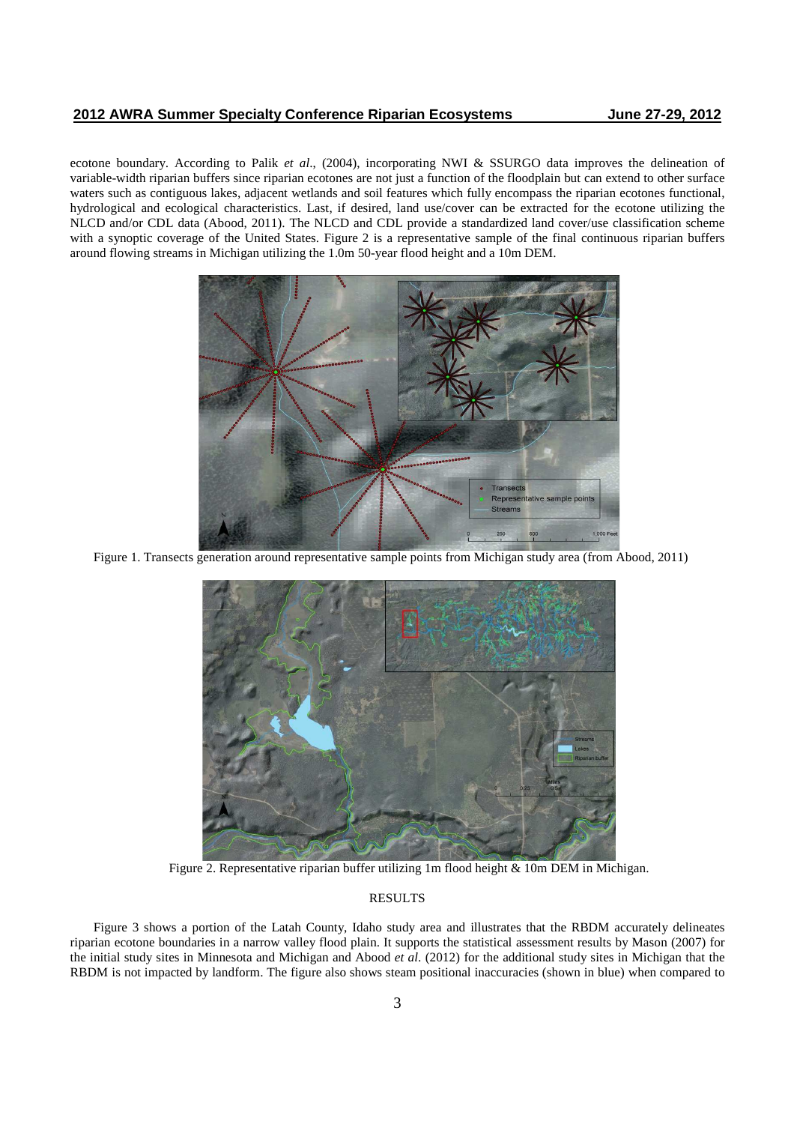ecotone boundary. According to Palik *et al*., (2004), incorporating NWI & SSURGO data improves the delineation of variable-width riparian buffers since riparian ecotones are not just a function of the floodplain but can extend to other surface waters such as contiguous lakes, adjacent wetlands and soil features which fully encompass the riparian ecotones functional, hydrological and ecological characteristics. Last, if desired, land use/cover can be extracted for the ecotone utilizing the NLCD and/or CDL data (Abood, 2011). The NLCD and CDL provide a standardized land cover/use classification scheme with a synoptic coverage of the United States. Figure 2 is a representative sample of the final continuous riparian buffers around flowing streams in Michigan utilizing the 1.0m 50-year flood height and a 10m DEM.



Figure 1. Transects generation around representative sample points from Michigan study area (from Abood, 2011)



Figure 2. Representative riparian buffer utilizing 1m flood height & 10m DEM in Michigan.

## RESULTS

Figure 3 shows a portion of the Latah County, Idaho study area and illustrates that the RBDM accurately delineates riparian ecotone boundaries in a narrow valley flood plain. It supports the statistical assessment results by Mason (2007) for the initial study sites in Minnesota and Michigan and Abood *et al*. (2012) for the additional study sites in Michigan that the RBDM is not impacted by landform. The figure also shows steam positional inaccuracies (shown in blue) when compared to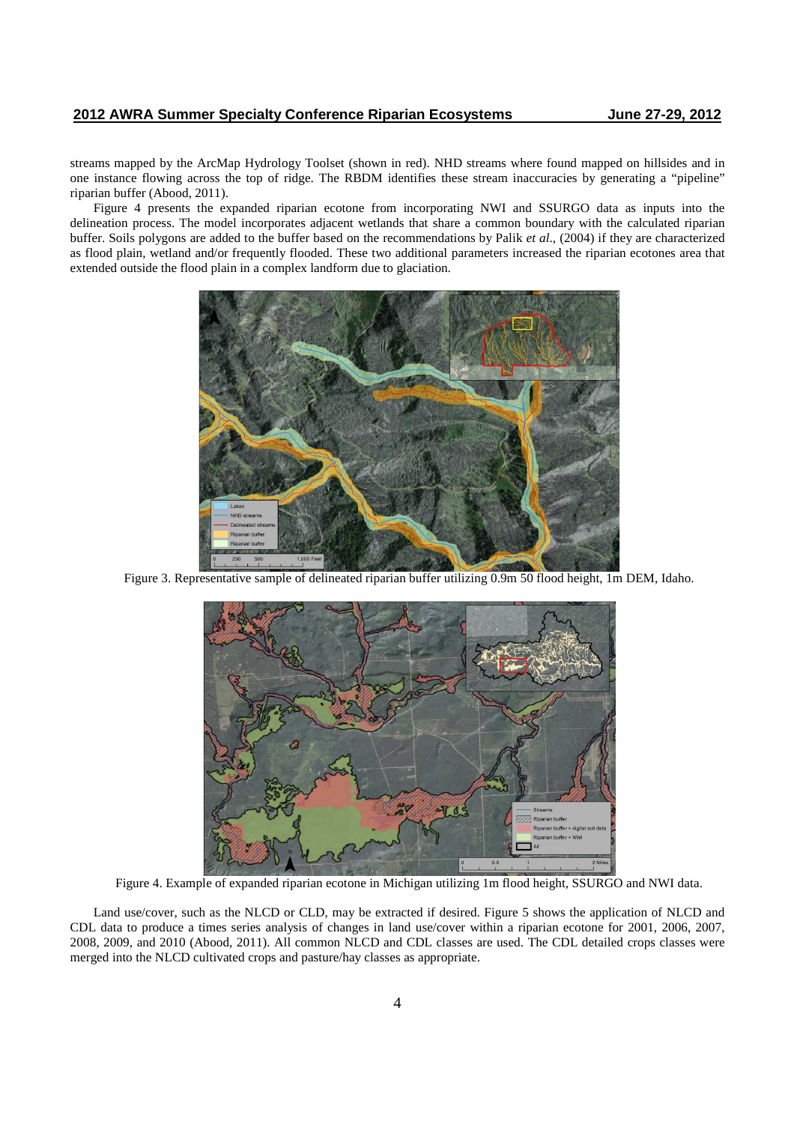streams mapped by the ArcMap Hydrology Toolset (shown in red). NHD streams where found mapped on hillsides and in one instance flowing across the top of ridge. The RBDM identifies these stream inaccuracies by generating a "pipeline" riparian buffer (Abood, 2011).

Figure 4 presents the expanded riparian ecotone from incorporating NWI and SSURGO data as inputs into the delineation process. The model incorporates adjacent wetlands that share a common boundary with the calculated riparian buffer. Soils polygons are added to the buffer based on the recommendations by Palik *et al*., (2004) if they are characterized as flood plain, wetland and/or frequently flooded. These two additional parameters increased the riparian ecotones area that extended outside the flood plain in a complex landform due to glaciation.



Figure 3. Representative sample of delineated riparian buffer utilizing 0.9m 50 flood height, 1m DEM, Idaho.



Figure 4. Example of expanded riparian ecotone in Michigan utilizing 1m flood height, SSURGO and NWI data.

Land use/cover, such as the NLCD or CLD, may be extracted if desired. Figure 5 shows the application of NLCD and CDL data to produce a times series analysis of changes in land use/cover within a riparian ecotone for 2001, 2006, 2007, 2008, 2009, and 2010 (Abood, 2011). All common NLCD and CDL classes are used. The CDL detailed crops classes were merged into the NLCD cultivated crops and pasture/hay classes as appropriate.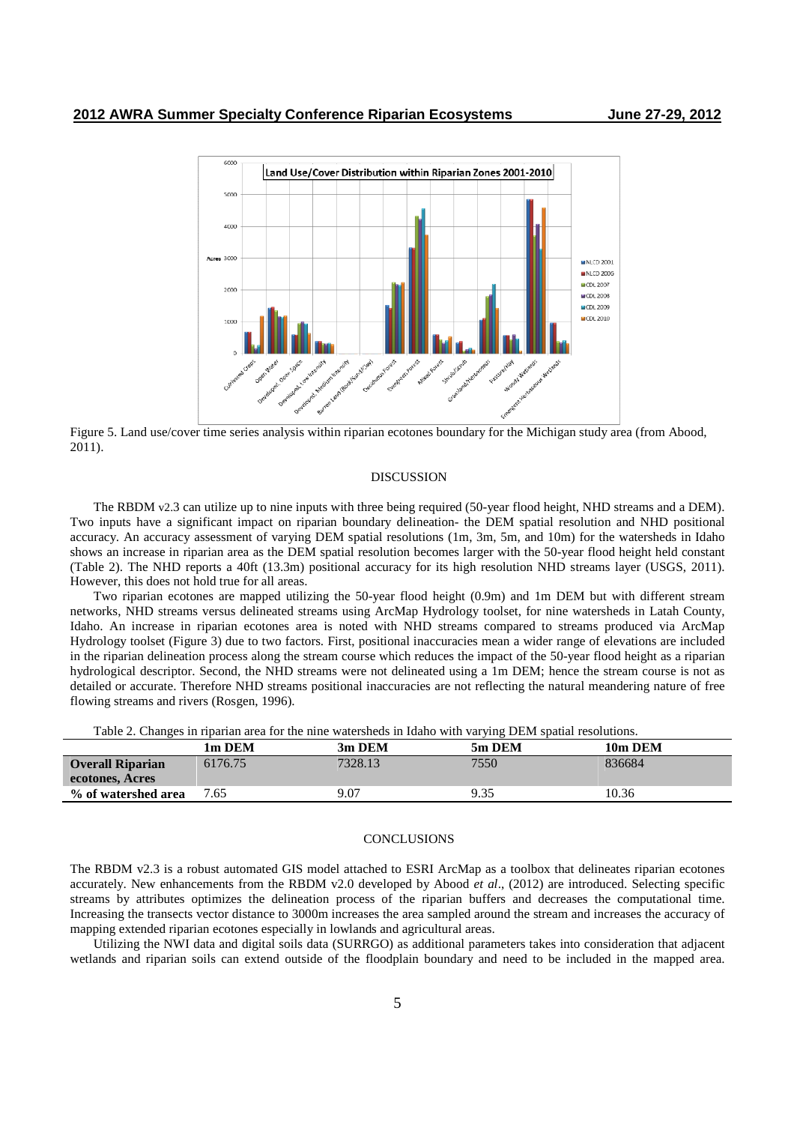

Figure 5. Land use/cover time series analysis within riparian ecotones boundary for the Michigan study area (from Abood, 2011).

#### DISCUSSION

The RBDM v2.3 can utilize up to nine inputs with three being required (50-year flood height, NHD streams and a DEM). Two inputs have a significant impact on riparian boundary delineation- the DEM spatial resolution and NHD positional accuracy. An accuracy assessment of varying DEM spatial resolutions (1m, 3m, 5m, and 10m) for the watersheds in Idaho shows an increase in riparian area as the DEM spatial resolution becomes larger with the 50-year flood height held constant (Table 2). The NHD reports a 40ft (13.3m) positional accuracy for its high resolution NHD streams layer (USGS, 2011). However, this does not hold true for all areas.

Two riparian ecotones are mapped utilizing the 50-year flood height (0.9m) and 1m DEM but with different stream networks, NHD streams versus delineated streams using ArcMap Hydrology toolset, for nine watersheds in Latah County, Idaho. An increase in riparian ecotones area is noted with NHD streams compared to streams produced via ArcMap Hydrology toolset (Figure 3) due to two factors. First, positional inaccuracies mean a wider range of elevations are included in the riparian delineation process along the stream course which reduces the impact of the 50-year flood height as a riparian hydrological descriptor. Second, the NHD streams were not delineated using a 1m DEM; hence the stream course is not as detailed or accurate. Therefore NHD streams positional inaccuracies are not reflecting the natural meandering nature of free flowing streams and rivers (Rosgen, 1996).

Table 2. Changes in riparian area for the nine watersheds in Idaho with varying DEM spatial resolutions.

|                         |         |         | . .    |         |
|-------------------------|---------|---------|--------|---------|
|                         | 1m DEM  | 3m DEM  | 5m DEM | 10m DEM |
| <b>Overall Riparian</b> | 6176.75 | 7328.13 | 7550   | 836684  |
| ecotones, Acres         |         |         |        |         |
| % of watershed area     | 7.65    | 9.07    | 9.35   | 10.36   |

### **CONCLUSIONS**

The RBDM v2.3 is a robust automated GIS model attached to ESRI ArcMap as a toolbox that delineates riparian ecotones accurately. New enhancements from the RBDM v2.0 developed by Abood *et al*., (2012) are introduced. Selecting specific streams by attributes optimizes the delineation process of the riparian buffers and decreases the computational time. Increasing the transects vector distance to 3000m increases the area sampled around the stream and increases the accuracy of mapping extended riparian ecotones especially in lowlands and agricultural areas.

Utilizing the NWI data and digital soils data (SURRGO) as additional parameters takes into consideration that adjacent wetlands and riparian soils can extend outside of the floodplain boundary and need to be included in the mapped area.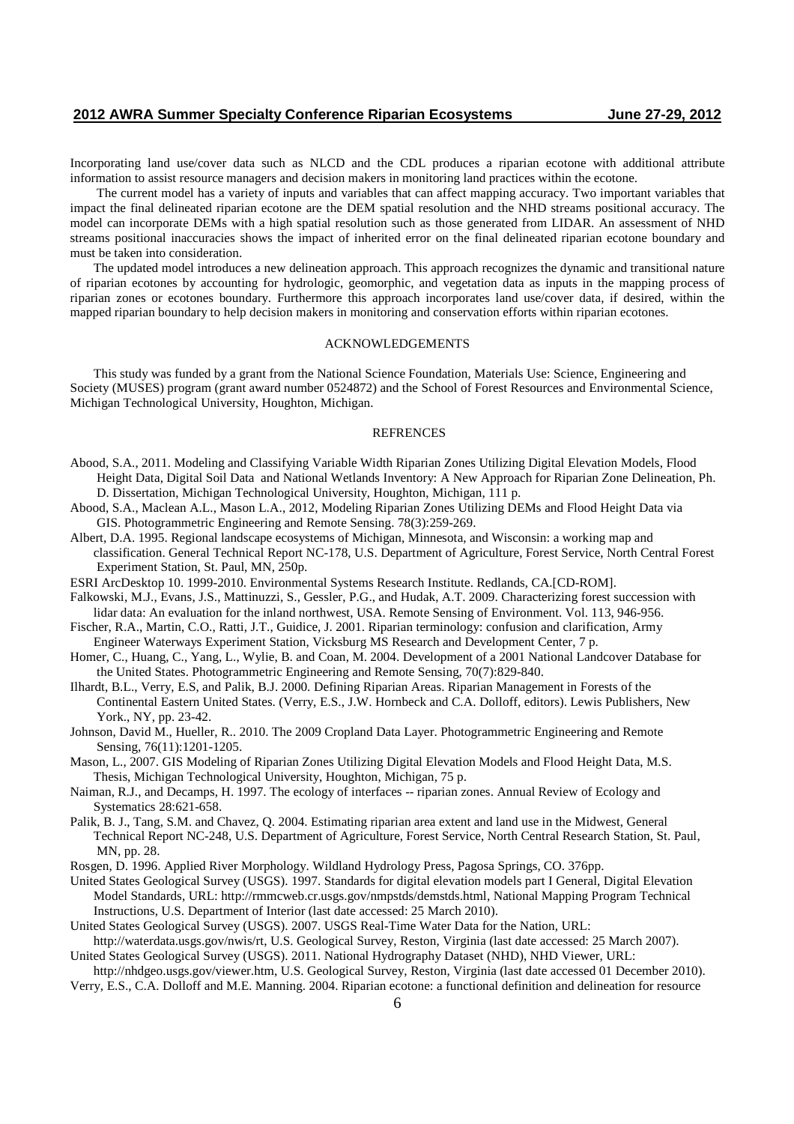Incorporating land use/cover data such as NLCD and the CDL produces a riparian ecotone with additional attribute information to assist resource managers and decision makers in monitoring land practices within the ecotone.

 The current model has a variety of inputs and variables that can affect mapping accuracy. Two important variables that impact the final delineated riparian ecotone are the DEM spatial resolution and the NHD streams positional accuracy. The model can incorporate DEMs with a high spatial resolution such as those generated from LIDAR. An assessment of NHD streams positional inaccuracies shows the impact of inherited error on the final delineated riparian ecotone boundary and must be taken into consideration.

The updated model introduces a new delineation approach. This approach recognizes the dynamic and transitional nature of riparian ecotones by accounting for hydrologic, geomorphic, and vegetation data as inputs in the mapping process of riparian zones or ecotones boundary. Furthermore this approach incorporates land use/cover data, if desired, within the mapped riparian boundary to help decision makers in monitoring and conservation efforts within riparian ecotones.

#### ACKNOWLEDGEMENTS

This study was funded by a grant from the National Science Foundation, Materials Use: Science, Engineering and Society (MUSES) program (grant award number 0524872) and the School of Forest Resources and Environmental Science, Michigan Technological University, Houghton, Michigan.

## **REFRENCES**

- Abood, S.A., 2011. Modeling and Classifying Variable Width Riparian Zones Utilizing Digital Elevation Models, Flood Height Data, Digital Soil Data and National Wetlands Inventory: A New Approach for Riparian Zone Delineation, Ph. D. Dissertation, Michigan Technological University, Houghton, Michigan, 111 p.
- Abood, S.A., Maclean A.L., Mason L.A., 2012, Modeling Riparian Zones Utilizing DEMs and Flood Height Data via GIS. Photogrammetric Engineering and Remote Sensing. 78(3):259-269.
- Albert, D.A. 1995. Regional landscape ecosystems of Michigan, Minnesota, and Wisconsin: a working map and classification. General Technical Report NC-178, U.S. Department of Agriculture, Forest Service, North Central Forest Experiment Station, St. Paul, MN, 250p.
- ESRI ArcDesktop 10. 1999-2010. Environmental Systems Research Institute. Redlands, CA.[CD-ROM].
- Falkowski, M.J., Evans, J.S., Mattinuzzi, S., Gessler, P.G., and Hudak, A.T. 2009. Characterizing forest succession with lidar data: An evaluation for the inland northwest, USA. Remote Sensing of Environment. Vol. 113, 946-956.
- Fischer, R.A., Martin, C.O., Ratti, J.T., Guidice, J. 2001. Riparian terminology: confusion and clarification, Army Engineer Waterways Experiment Station, Vicksburg MS Research and Development Center, 7 p.
- Homer, C., Huang, C., Yang, L., Wylie, B. and Coan, M. 2004. Development of a 2001 National Landcover Database for the United States. Photogrammetric Engineering and Remote Sensing, 70(7):829-840.
- Ilhardt, B.L., Verry, E.S, and Palik, B.J. 2000. Defining Riparian Areas. Riparian Management in Forests of the Continental Eastern United States. (Verry, E.S., J.W. Hornbeck and C.A. Dolloff, editors). Lewis Publishers, New York., NY, pp. 23-42.
- Johnson, David M., Hueller, R.. 2010. The 2009 Cropland Data Layer. Photogrammetric Engineering and Remote Sensing, 76(11):1201-1205.
- Mason, L., 2007. GIS Modeling of Riparian Zones Utilizing Digital Elevation Models and Flood Height Data, M.S. Thesis, Michigan Technological University, Houghton, Michigan, 75 p.
- Naiman, R.J., and Decamps, H. 1997. The ecology of interfaces -- riparian zones. Annual Review of Ecology and Systematics 28:621-658.
- Palik, B. J., Tang, S.M. and Chavez, Q. 2004. Estimating riparian area extent and land use in the Midwest, General Technical Report NC-248, U.S. Department of Agriculture, Forest Service, North Central Research Station, St. Paul, MN, pp. 28.
- Rosgen, D. 1996. Applied River Morphology. Wildland Hydrology Press, Pagosa Springs, CO. 376pp.
- United States Geological Survey (USGS). 1997. Standards for digital elevation models part I General, Digital Elevation Model Standards, URL: http://rmmcweb.cr.usgs.gov/nmpstds/demstds.html, National Mapping Program Technical Instructions, U.S. Department of Interior (last date accessed: 25 March 2010).
- United States Geological Survey (USGS). 2007. USGS Real-Time Water Data for the Nation, URL:
- http://waterdata.usgs.gov/nwis/rt, U.S. Geological Survey, Reston, Virginia (last date accessed: 25 March 2007). United States Geological Survey (USGS). 2011. National Hydrography Dataset (NHD), NHD Viewer, URL:
- http://nhdgeo.usgs.gov/viewer.htm, U.S. Geological Survey, Reston, Virginia (last date accessed 01 December 2010). Verry, E.S., C.A. Dolloff and M.E. Manning. 2004. Riparian ecotone: a functional definition and delineation for resource